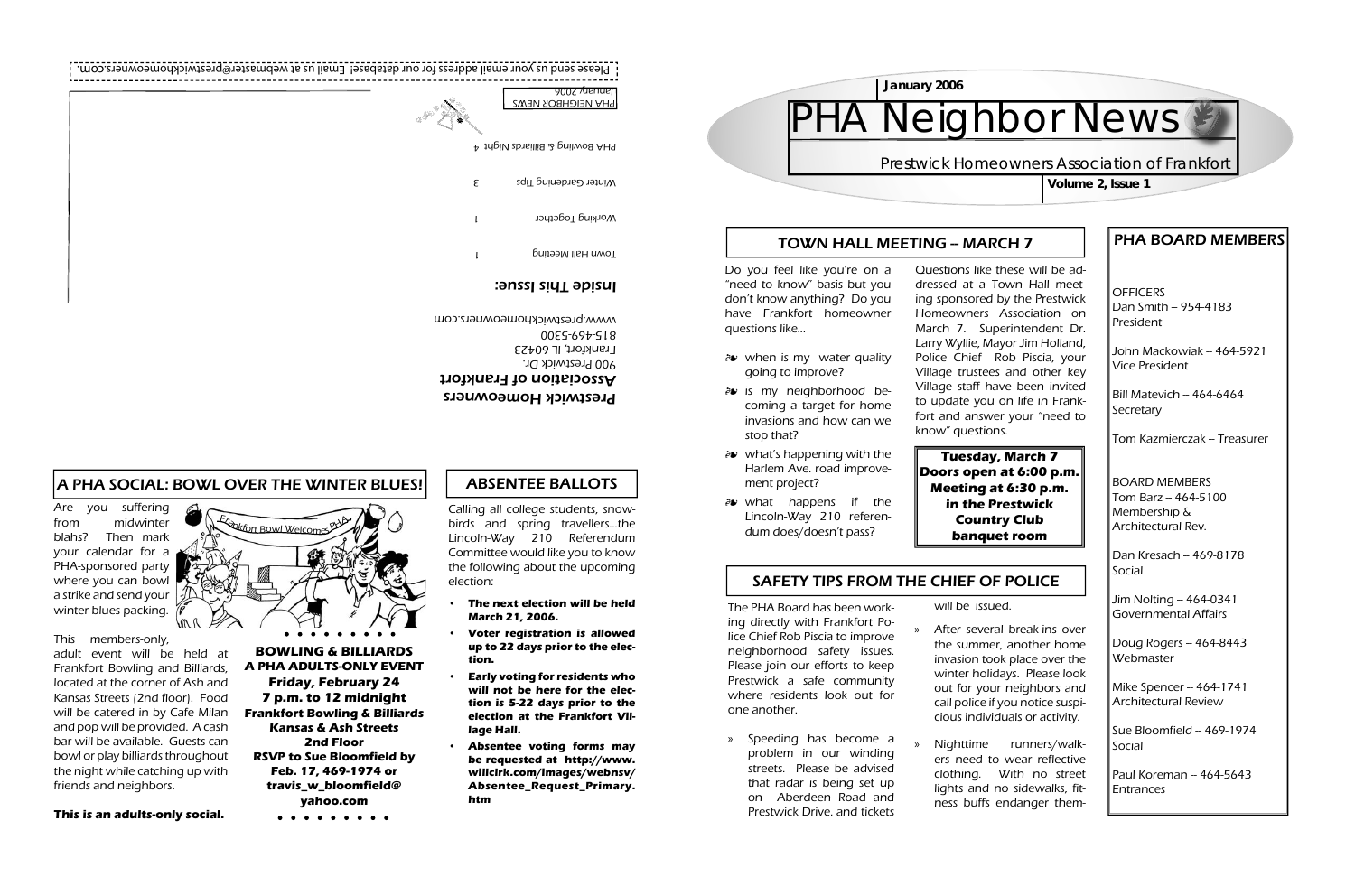**OFFICERS**  $Dan$  Smith -- 954-4183 President

#### PHA BOARD MEMBERS

John Mackowiak – 464-5921 Vice President

Bill Matevich – 464-6464 **Secretary** 

Tom Kazmierczak – Treasurer

 $\vert$ Dan Kresach – 469-8178 Social

Jim Nolting -- 464-0341 Governmental Affairs

Doug Rogers  $-464-8443$ **Webmaster** 

Mike Spencer -- 464-1741 Architectural Review

Sue Bloomfield – 469-1974 Social

 $\mathsf{\color{red}P}$ aul Koreman – 464-5643 Entrances

BOARD MEMBERSTom Barz -- 464-5100 Membership & Architectural Rev.

- *a* when is my water quality going to improve?
- is my neighborhood be-coming a target for home invasions and how can we stop that?
- *a* what's happening with the Harlem Ave. road improvement project?
- what happens if the -Lincoln-Way 210 referendum does/doesn't pass?

#### SAFETY TIPS FROM THE CHIEF OF POLICE

Do you feel like you're on a "need to know" basis but you don't know anything? Do you have Frankfort homeowner questions like...

» Speeding has become a problem in our winding streets. Please be advised that radar is being set up on Aberdeen Road and Prestwick Drive. and tickets

Questions like these will be addressed at a Town Hall meeting sponsored by the Prestwick Homeowners Association on March 7. Superintendent Dr. Larry Wyllie, Mayor Jim Holland, Police Chief Rob Piscia, your Village trustees and other key Village staff have been invited to update you on life in Frankfort and answer your "need to know" questions.

After several break-ins over the summer, another home invasion took place over the winter holidays. Please look out for your neighbors and call police if you notice suspicious individuals or activity.

will be issued.»

| Janary 2006              |
|--------------------------|
| <b>PHA NEIGHBOR NEWS</b> |
|                          |
|                          |

Nighttime runners/walkers need to wear reflective clothing. With no street lights and no sidewalks, fitness buffs endanger them-

»

The PHA Board has been working directly with Frankfort Police Chief Rob Piscia to improve neighborhood safety issues. Please join our efforts to keep Prestwick a safe community where residents look out for one another.

**Volume 2, Issue 1**



#### TOWN HALL MEETING - MARCH 7

Are you suffering from midwinter blahs? Then mark your calendar for a PHA-sponsored party where you can bowl a strike and send your winter blues packing.

This members-only,

adult event will be held at Frankfort Bowling and Billiards, located at the corner of Ash and Kansas Streets (2nd floor). Food will be catered in by Cafe Milan and pop will be provided. A cash bar will be available. Guests can bowl or play billiards throughout the night while catching up with friends and neighbors.

# Etable of Bowl Welcomes PHA V W

#### **This is an adults-only social.**

## Neighbor News

#### **Prestwick Homeowners Association of Frankfort**

**BOWLING & BILLIARDSA PHA ADULTS-ONLY EVENTFriday, February 24 7 p.m. to 12 midnight Frankfort Bowling & Billiards Kansas & Ash Streets2nd FloorRSVP to Sue Bloomfield by Feb. 17, 469-1974 or travis\_w\_bloomfield@ yahoo.com**

. . . . . . . . .

#### A PHA SOCIAL: BOWL OVER THE WINTER BLUES!

Prestwick Homeowners Association of Frankfort 900 Prestwick Dr. Frankfort, IL 60423 815-469-5300 www.prestwickhomeowners.com

#### Inside This Issue:

PHA Bowling & Billiards Night 4

Winter Gardening I ips

Working Together

Town Hall Meeting

### ABSENTEE BALLOTS

**Tuesday, March 7**

**Doors open at 6:00 p.m. Meeting at 6:30 p.m. in the Prestwick Country Club banquet room**

Calling all college students, snowbirds and spring travellers...the Lincoln-Way 210 Referendum Committee would like you to know the following about the upcoming election:

- **The next election will be held March 21, 2006. •**
- **Voter registration is allowed up to 22 days prior to the election.•**
- **Early voting for residents who will not be here for the election is 5-22 days prior to the election at the Frankfort Village Hall. •**
- **Absentee voting forms may be requested at http://www. willclrk.com/images/webnsv/ Absentee\_Request\_Primary. htm**

**•**

com. ess for our database! Email us at webmaster@prestwickhomeowners. Please send us your email addr